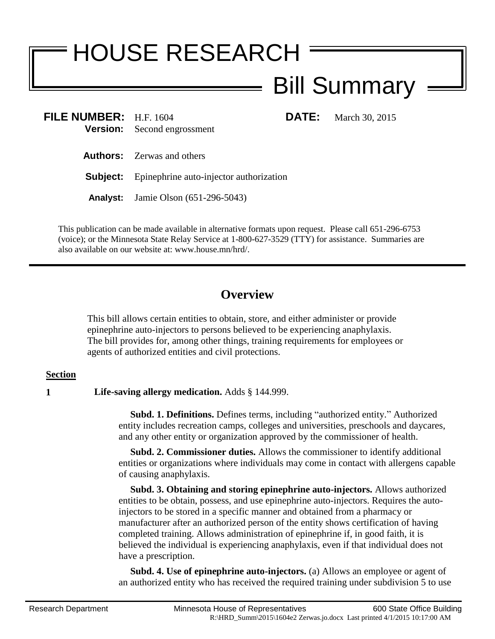## HOUSE RESEARCH Bill Summary

**FILE NUMBER:** H.F. 1604 **DATE:** March 30, 2015 **Version:** Second engrossment

**Authors:** Zerwas and others

**Subject:** Epinephrine auto-injector authorization

**Analyst:** Jamie Olson (651-296-5043)

This publication can be made available in alternative formats upon request. Please call 651-296-6753 (voice); or the Minnesota State Relay Service at 1-800-627-3529 (TTY) for assistance. Summaries are also available on our website at: www.house.mn/hrd/.

## **Overview**

This bill allows certain entities to obtain, store, and either administer or provide epinephrine auto-injectors to persons believed to be experiencing anaphylaxis. The bill provides for, among other things, training requirements for employees or agents of authorized entities and civil protections.

## **Section**

**1 Life-saving allergy medication.** Adds § 144.999.

 **Subd. 1. Definitions.** Defines terms, including "authorized entity." Authorized entity includes recreation camps, colleges and universities, preschools and daycares, and any other entity or organization approved by the commissioner of health.

 **Subd. 2. Commissioner duties.** Allows the commissioner to identify additional entities or organizations where individuals may come in contact with allergens capable of causing anaphylaxis.

 **Subd. 3. Obtaining and storing epinephrine auto-injectors.** Allows authorized entities to be obtain, possess, and use epinephrine auto-injectors. Requires the autoinjectors to be stored in a specific manner and obtained from a pharmacy or manufacturer after an authorized person of the entity shows certification of having completed training. Allows administration of epinephrine if, in good faith, it is believed the individual is experiencing anaphylaxis, even if that individual does not have a prescription.

 **Subd. 4. Use of epinephrine auto-injectors.** (a) Allows an employee or agent of an authorized entity who has received the required training under subdivision 5 to use